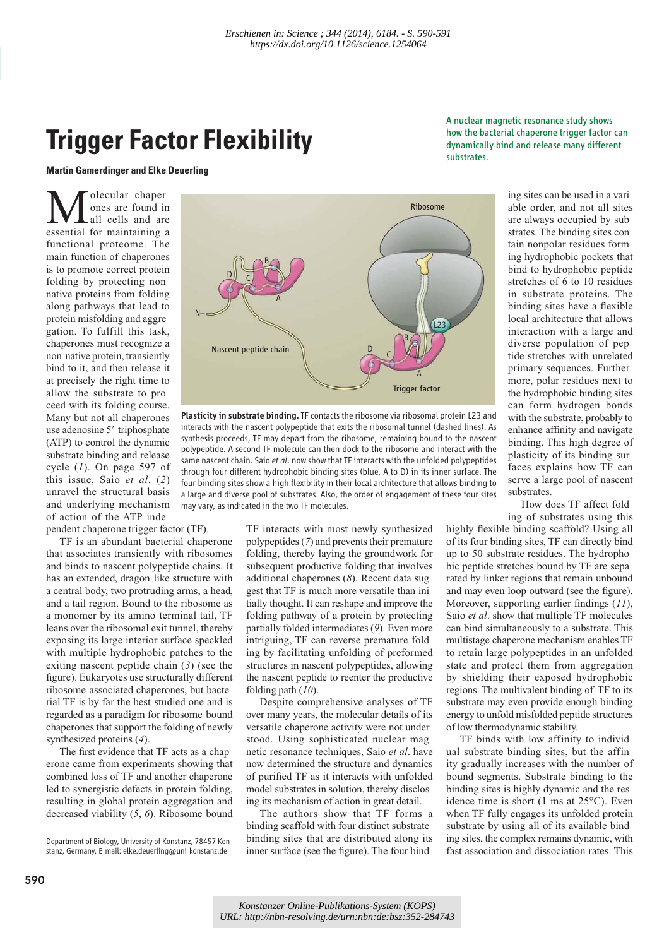## **Trigger Factor Flexibility**

**Martin Gamerdinger and Elke Deuerling** 

**M** olecular chaper<br>
ones are found in<br>
essential for maintaining a ones are found in all cells and are functional proteome. The main function of chaperones is to promote correct protein folding by protecting non native proteins from folding along pathways that lead to protein misfolding and aggre gation. To fulfill this task, chaperones must recognize a non native protein, transiently bind to it, and then release it at precisely the right time to allow the substrate to pro ceed with its folding course. Many but not all chaperones use adenosine 5' triphosphate (ATP) to control the dynamic substrate binding and release cycle (*1*). On page 597 of this issue, Saio *et al*. (*2*) unravel the structural basis and underlying mechanism of action of the ATP inde

pendent chaperone trigger factor (TF).

that associates transiently with ribosomes and binds to nascent polypeptide chains. It has an extended, dragon like structure with a central body, two protruding arms, a head, and a tail region. Bound to the ribosome as a monomer by its amino terminal tail, TF leans over the ribosomal exit tunnel, thereby exposing its large interior surface speckled with multiple hydrophobic patches to the exiting nascent peptide chain (*3*) (see the figure). Eukaryotes use structurally different ribosome associated chaperones, but bacte rial TF is by far the best studied one and is regarded as a paradigm for ribosome bound chaperones that support the folding of newly synthesized proteins (*4*).

The first evidence that TF acts as a chap erone came from experiments showing that combined loss of TF and another chaperone led to synergistic defects in protein folding, resulting in global protein aggregation and decreased viability (*5*, *6*). Ribosome bound



Plasticity in substrate binding. TF contacts the ribosome via ribosomal protein L23 and interacts with the nascent polypeptide that exits the ribosomal tunnel (dashed lines). As synthesis proceeds, TF may depart from the ribosome, remaining bound to the nascent polypeptide. A second TF molecule can then dock to the ribosome and interact with the same nascent chain. Saio *et al*. now show that TF interacts with the unfolded polypeptides through four different hydrophobic binding sites (blue, A to D) in its inner surface. The four binding sites show a high flexibility in their local architecture that allows binding to a large and diverse pool of substrates. Also, the order of engagement of these four sites may vary, as indicated in the two TF molecules.

TF is an abundant bacterial chaperone

TF interacts with most newly synthesized polypeptides (*7*) and prevents their premature folding, thereby laying the groundwork for subsequent productive folding that involves additional chaperones (*8*). Recent data sug gest that TF is much more versatile than ini tially thought. It can reshape and improve the folding pathway of a protein by protecting partially folded intermediates (*9*). Even more intriguing, TF can reverse premature fold ing by facilitating unfolding of preformed structures in nascent polypeptides, allowing the nascent peptide to reenter the productive folding path (*10*).

Despite comprehensive analyses of TF over many years, the molecular details of its versatile chaperone activity were not under stood. Using sophisticated nuclear mag netic resonance techniques, Saio *et al*. have now determined the structure and dynamics of purified TF as it interacts with unfolded model substrates in solution, thereby disclos ing its mechanism of action in great detail.

The authors show that TF forms a binding scaffold with four distinct substrate binding sites that are distributed along its inner surface (see the figure). The four bind

A nuclear magnetic resonance study shows how the bacterial chaperone trigger factor can dynamically bind and release many different substrates.

> ing sites can be used in a vari able order, and not all sites are always occupied by sub strates. The binding sites con tain nonpolar residues form ing hydrophobic pockets that bind to hydrophobic peptide stretches of 6 to 10 residues in substrate proteins. The binding sites have a flexible local architecture that allows interaction with a large and diverse population of pep tide stretches with unrelated primary sequences. Further more, polar residues next to the hydrophobic binding sites can form hydrogen bonds with the substrate, probably to enhance affinity and navigate binding. This high degree of plasticity of its binding sur faces explains how TF can serve a large pool of nascent substrates.

How does TF affect fold ing of substrates using this

highly flexible binding scaffold? Using all of its four binding sites, TF can directly bind up to 50 substrate residues. The hydropho bic peptide stretches bound by TF are sepa rated by linker regions that remain unbound and may even loop outward (see the figure). Moreover, supporting earlier findings (*11*), Saio *et al*. show that multiple TF molecules can bind simultaneously to a substrate. This multistage chaperone mechanism enables TF to retain large polypeptides in an unfolded state and protect them from aggregation by shielding their exposed hydrophobic regions. The multivalent binding of TF to its substrate may even provide enough binding energy to unfold misfolded peptide structures of low thermodynamic stability.

TF binds with low affinity to individ ual substrate binding sites, but the affin ity gradually increases with the number of bound segments. Substrate binding to the binding sites is highly dynamic and the res idence time is short (1 ms at 25°C). Even when TF fully engages its unfolded protein substrate by using all of its available bind ing sites, the complex remains dynamic, with fast association and dissociation rates. This

Department of Biology, University of Konstanz, 78457 Kon stanz, Germany. E mail: elke.deuerling@uni konstanz.de